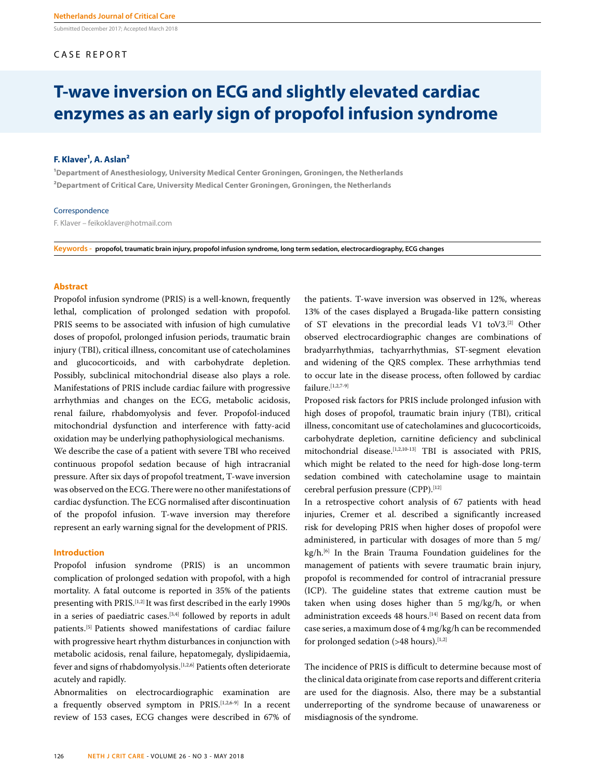Submitted December 2017; Accepted March 2018

# CASE REPORT

# **T-wave inversion on ECG and slightly elevated cardiac enzymes as an early sign of propofol infusion syndrome**

# **F. Klaver<sup>1</sup>, A. Aslan<sup>2</sup>**

**¹Department of Anesthesiology, University Medical Center Groningen, Groningen, the Netherlands ²Department of Critical Care, University Medical Center Groningen, Groningen, the Netherlands**

# Correspondence

F. Klaver – feikoklaver@hotmail.com

**Keywords - propofol, traumatic brain injury, propofol infusion syndrome, long term sedation, electrocardiography, ECG changes**

# **Abstract**

Propofol infusion syndrome (PRIS) is a well-known, frequently lethal, complication of prolonged sedation with propofol. PRIS seems to be associated with infusion of high cumulative doses of propofol, prolonged infusion periods, traumatic brain injury (TBI), critical illness, concomitant use of catecholamines and glucocorticoids, and with carbohydrate depletion. Possibly, subclinical mitochondrial disease also plays a role. Manifestations of PRIS include cardiac failure with progressive arrhythmias and changes on the ECG, metabolic acidosis, renal failure, rhabdomyolysis and fever. Propofol-induced mitochondrial dysfunction and interference with fatty-acid oxidation may be underlying pathophysiological mechanisms.

We describe the case of a patient with severe TBI who received continuous propofol sedation because of high intracranial pressure. After six days of propofol treatment, T-wave inversion was observed on the ECG. There were no other manifestations of cardiac dysfunction. The ECG normalised after discontinuation of the propofol infusion. T-wave inversion may therefore represent an early warning signal for the development of PRIS.

#### **Introduction**

Propofol infusion syndrome (PRIS) is an uncommon complication of prolonged sedation with propofol, with a high mortality. A fatal outcome is reported in 35% of the patients presenting with PRIS.[1,2] It was first described in the early 1990s in a series of paediatric cases.<sup>[3,4]</sup> followed by reports in adult patients.[5] Patients showed manifestations of cardiac failure with progressive heart rhythm disturbances in conjunction with metabolic acidosis, renal failure, hepatomegaly, dyslipidaemia, fever and signs of rhabdomyolysis.[1,2,6] Patients often deteriorate acutely and rapidly.

Abnormalities on electrocardiographic examination are a frequently observed symptom in PRIS.[1,2,6-9] In a recent review of 153 cases, ECG changes were described in 67% of

the patients. T-wave inversion was observed in 12%, whereas 13% of the cases displayed a Brugada-like pattern consisting of ST elevations in the precordial leads V1 toV3.[2] Other observed electrocardiographic changes are combinations of bradyarrhythmias, tachyarrhythmias, ST-segment elevation and widening of the QRS complex. These arrhythmias tend to occur late in the disease process, often followed by cardiac failure.<sup>[1,2,7-9]</sup>

Proposed risk factors for PRIS include prolonged infusion with high doses of propofol, traumatic brain injury (TBI), critical illness, concomitant use of catecholamines and glucocorticoids, carbohydrate depletion, carnitine deficiency and subclinical mitochondrial disease.<sup>[1,2,10-13]</sup> TBI is associated with PRIS, which might be related to the need for high-dose long-term sedation combined with catecholamine usage to maintain cerebral perfusion pressure (CPP).<sup>[12]</sup>

In a retrospective cohort analysis of 67 patients with head injuries, Cremer et al. described a significantly increased risk for developing PRIS when higher doses of propofol were administered, in particular with dosages of more than 5 mg/ kg/h.<sup>[6]</sup> In the Brain Trauma Foundation guidelines for the management of patients with severe traumatic brain injury, propofol is recommended for control of intracranial pressure (ICP). The guideline states that extreme caution must be taken when using doses higher than 5 mg/kg/h, or when administration exceeds 48 hours.<sup>[14]</sup> Based on recent data from case series, a maximum dose of 4 mg/kg/h can be recommended for prolonged sedation (>48 hours). $[1,2]$ 

The incidence of PRIS is difficult to determine because most of the clinical data originate from case reports and different criteria are used for the diagnosis. Also, there may be a substantial underreporting of the syndrome because of unawareness or misdiagnosis of the syndrome.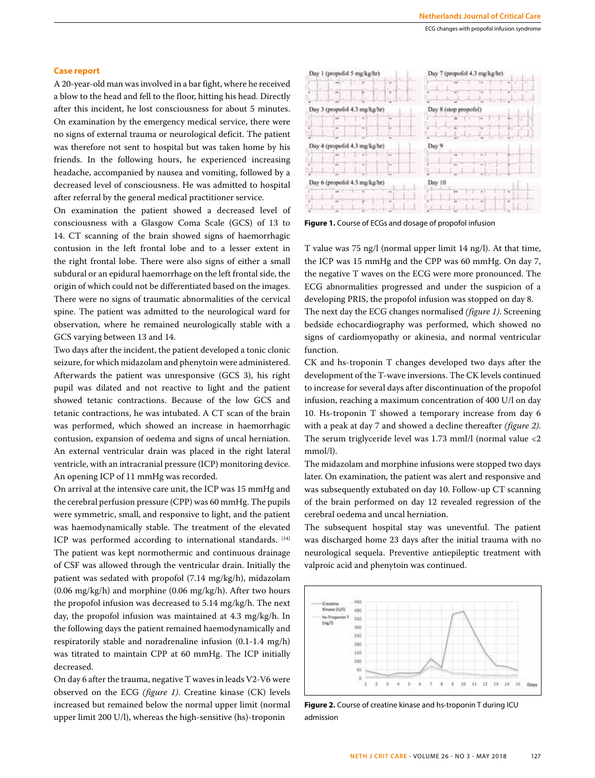## **Case report**

A 20-year-old man was involved in a bar fight, where he received a blow to the head and fell to the floor, hitting his head. Directly after this incident, he lost consciousness for about 5 minutes. On examination by the emergency medical service, there were no signs of external trauma or neurological deficit. The patient was therefore not sent to hospital but was taken home by his friends. In the following hours, he experienced increasing headache, accompanied by nausea and vomiting, followed by a decreased level of consciousness. He was admitted to hospital after referral by the general medical practitioner service.

On examination the patient showed a decreased level of consciousness with a Glasgow Coma Scale (GCS) of 13 to 14. CT scanning of the brain showed signs of haemorrhagic contusion in the left frontal lobe and to a lesser extent in the right frontal lobe. There were also signs of either a small subdural or an epidural haemorrhage on the left frontal side, the origin of which could not be differentiated based on the images. There were no signs of traumatic abnormalities of the cervical spine. The patient was admitted to the neurological ward for observation, where he remained neurologically stable with a GCS varying between 13 and 14.

Two days after the incident, the patient developed a tonic clonic seizure, for which midazolam and phenytoin were administered. Afterwards the patient was unresponsive (GCS 3), his right pupil was dilated and not reactive to light and the patient showed tetanic contractions. Because of the low GCS and tetanic contractions, he was intubated. A CT scan of the brain was performed, which showed an increase in haemorrhagic contusion, expansion of oedema and signs of uncal herniation. An external ventricular drain was placed in the right lateral ventricle, with an intracranial pressure (ICP) monitoring device. An opening ICP of 11 mmHg was recorded.

On arrival at the intensive care unit, the ICP was 15 mmHg and the cerebral perfusion pressure (CPP) was 60 mmHg. The pupils were symmetric, small, and responsive to light, and the patient was haemodynamically stable. The treatment of the elevated ICP was performed according to international standards. [14] The patient was kept normothermic and continuous drainage of CSF was allowed through the ventricular drain. Initially the patient was sedated with propofol (7.14 mg/kg/h), midazolam (0.06 mg/kg/h) and morphine (0.06 mg/kg/h). After two hours the propofol infusion was decreased to 5.14 mg/kg/h. The next day, the propofol infusion was maintained at 4.3 mg/kg/h. In the following days the patient remained haemodynamically and respiratorily stable and noradrenaline infusion (0.1-1.4 mg/h) was titrated to maintain CPP at 60 mmHg. The ICP initially decreased.

On day 6 after the trauma, negative T waves in leads V2-V6 were observed on the ECG *(figure 1)*. Creatine kinase (CK) levels increased but remained below the normal upper limit (normal upper limit 200 U/l), whereas the high-sensitive (hs)-troponin



**Figure 1.** Course of ECGs and dosage of propofol infusion

T value was 75 ng/l (normal upper limit 14 ng/l). At that time, the ICP was 15 mmHg and the CPP was 60 mmHg. On day 7, the negative T waves on the ECG were more pronounced. The ECG abnormalities progressed and under the suspicion of a developing PRIS, the propofol infusion was stopped on day 8. The next day the ECG changes normalised *(figure 1)*. Screening bedside echocardiography was performed, which showed no signs of cardiomyopathy or akinesia, and normal ventricular function.

CK and hs-troponin T changes developed two days after the development of the T-wave inversions. The CK levels continued to increase for several days after discontinuation of the propofol infusion, reaching a maximum concentration of 400 U/l on day 10. Hs-troponin T showed a temporary increase from day 6 with a peak at day 7 and showed a decline thereafter *(figure 2)*. The serum triglyceride level was 1.73 mml/l (normal value <2 mmol/l).

The midazolam and morphine infusions were stopped two days later. On examination, the patient was alert and responsive and was subsequently extubated on day 10. Follow-up CT scanning of the brain performed on day 12 revealed regression of the cerebral oedema and uncal herniation.

The subsequent hospital stay was uneventful. The patient was discharged home 23 days after the initial trauma with no neurological sequela. Preventive antiepileptic treatment with valproic acid and phenytoin was continued.



**Figure 2.** Course of creatine kinase and hs-troponin T during ICU admission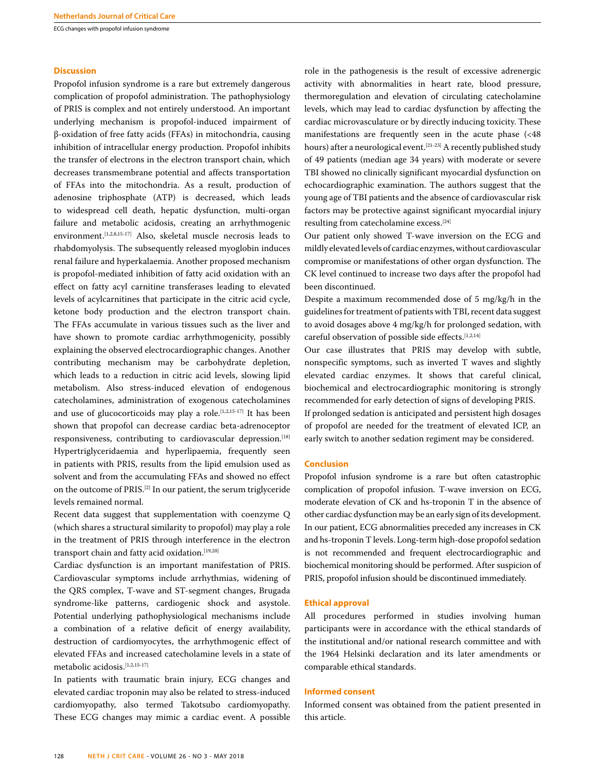ECG changes with propofol infusion syndrome

## **Discussion**

Propofol infusion syndrome is a rare but extremely dangerous complication of propofol administration. The pathophysiology of PRIS is complex and not entirely understood. An important underlying mechanism is propofol-induced impairment of β-oxidation of free fatty acids (FFAs) in mitochondria, causing inhibition of intracellular energy production. Propofol inhibits the transfer of electrons in the electron transport chain, which decreases transmembrane potential and affects transportation of FFAs into the mitochondria. As a result, production of adenosine triphosphate (ATP) is decreased, which leads to widespread cell death, hepatic dysfunction, multi-organ failure and metabolic acidosis, creating an arrhythmogenic environment.<sup>[1,2,8,15-17]</sup> Also, skeletal muscle necrosis leads to rhabdomyolysis. The subsequently released myoglobin induces renal failure and hyperkalaemia. Another proposed mechanism is propofol-mediated inhibition of fatty acid oxidation with an effect on fatty acyl carnitine transferases leading to elevated levels of acylcarnitines that participate in the citric acid cycle, ketone body production and the electron transport chain. The FFAs accumulate in various tissues such as the liver and have shown to promote cardiac arrhythmogenicity, possibly explaining the observed electrocardiographic changes. Another contributing mechanism may be carbohydrate depletion, which leads to a reduction in citric acid levels, slowing lipid metabolism. Also stress-induced elevation of endogenous catecholamines, administration of exogenous catecholamines and use of glucocorticoids may play a role.<sup>[1,2,15-17]</sup> It has been shown that propofol can decrease cardiac beta-adrenoceptor responsiveness, contributing to cardiovascular depression.<sup>[18]</sup> Hypertriglyceridaemia and hyperlipaemia, frequently seen in patients with PRIS, results from the lipid emulsion used as solvent and from the accumulating FFAs and showed no effect on the outcome of PRIS.[2] In our patient, the serum triglyceride levels remained normal.

Recent data suggest that supplementation with coenzyme Q (which shares a structural similarity to propofol) may play a role in the treatment of PRIS through interference in the electron transport chain and fatty acid oxidation.[19,20]

Cardiac dysfunction is an important manifestation of PRIS. Cardiovascular symptoms include arrhythmias, widening of the QRS complex, T-wave and ST-segment changes, Brugada syndrome-like patterns, cardiogenic shock and asystole. Potential underlying pathophysiological mechanisms include a combination of a relative deficit of energy availability, destruction of cardiomyocytes, the arrhythmogenic effect of elevated FFAs and increased catecholamine levels in a state of metabolic acidosis.[1,2,15-17]

In patients with traumatic brain injury, ECG changes and elevated cardiac troponin may also be related to stress-induced cardiomyopathy, also termed Takotsubo cardiomyopathy. These ECG changes may mimic a cardiac event. A possible

role in the pathogenesis is the result of excessive adrenergic activity with abnormalities in heart rate, blood pressure, thermoregulation and elevation of circulating catecholamine levels, which may lead to cardiac dysfunction by affecting the cardiac microvasculature or by directly inducing toxicity. These manifestations are frequently seen in the acute phase (<48 hours) after a neurological event.<sup>[21-23]</sup> A recently published study of 49 patients (median age 34 years) with moderate or severe TBI showed no clinically significant myocardial dysfunction on echocardiographic examination. The authors suggest that the young age of TBI patients and the absence of cardiovascular risk factors may be protective against significant myocardial injury resulting from catecholamine excess.[24]

Our patient only showed T-wave inversion on the ECG and mildly elevated levels of cardiac enzymes, without cardiovascular compromise or manifestations of other organ dysfunction. The CK level continued to increase two days after the propofol had been discontinued.

Despite a maximum recommended dose of 5 mg/kg/h in the guidelines for treatment of patients with TBI, recent data suggest to avoid dosages above 4 mg/kg/h for prolonged sedation, with careful observation of possible side effects.[1,2,14]

Our case illustrates that PRIS may develop with subtle, nonspecific symptoms, such as inverted T waves and slightly elevated cardiac enzymes. It shows that careful clinical, biochemical and electrocardiographic monitoring is strongly recommended for early detection of signs of developing PRIS.

If prolonged sedation is anticipated and persistent high dosages of propofol are needed for the treatment of elevated ICP, an early switch to another sedation regiment may be considered.

#### **Conclusion**

Propofol infusion syndrome is a rare but often catastrophic complication of propofol infusion. T-wave inversion on ECG, moderate elevation of CK and hs-troponin T in the absence of other cardiac dysfunction may be an early sign of its development. In our patient, ECG abnormalities preceded any increases in CK and hs-troponin T levels. Long-term high-dose propofol sedation is not recommended and frequent electrocardiographic and biochemical monitoring should be performed. After suspicion of PRIS, propofol infusion should be discontinued immediately.

#### **Ethical approval**

All procedures performed in studies involving human participants were in accordance with the ethical standards of the institutional and/or national research committee and with the 1964 Helsinki declaration and its later amendments or comparable ethical standards.

### **Informed consent**

Informed consent was obtained from the patient presented in this article.